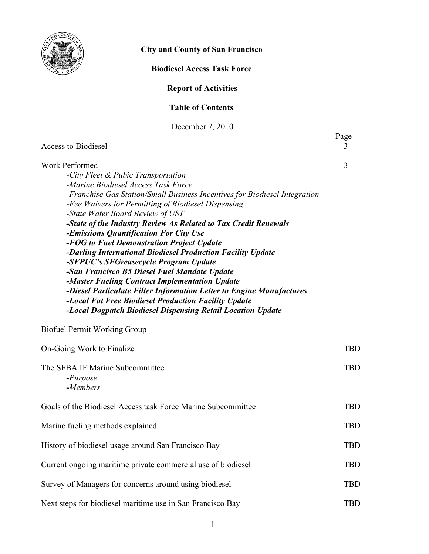

# **City and County of San Francisco**

# **Biodiesel Access Task Force**

# **Report of Activities**

### **Table of Contents**

December 7, 2010

| Access to Biodiesel                                                                                                                                                                                                                                                                                                                                                                                                                                                                                                                                                                                                                                                                                                                                                                                                                            | Page<br>3  |
|------------------------------------------------------------------------------------------------------------------------------------------------------------------------------------------------------------------------------------------------------------------------------------------------------------------------------------------------------------------------------------------------------------------------------------------------------------------------------------------------------------------------------------------------------------------------------------------------------------------------------------------------------------------------------------------------------------------------------------------------------------------------------------------------------------------------------------------------|------------|
| <b>Work Performed</b><br>-City Fleet & Pubic Transportation<br>-Marine Biodiesel Access Task Force<br>-Franchise Gas Station/Small Business Incentives for Biodiesel Integration<br>-Fee Waivers for Permitting of Biodiesel Dispensing<br>-State Water Board Review of UST<br>-State of the Industry Review As Related to Tax Credit Renewals<br>-Emissions Quantification For City Use<br>-FOG to Fuel Demonstration Project Update<br>-Darling International Biodiesel Production Facility Update<br>-SFPUC's SFGreasecycle Program Update<br>-San Francisco B5 Diesel Fuel Mandate Update<br>-Master Fueling Contract Implementation Update<br>-Diesel Particulate Filter Information Letter to Engine Manufactures<br>-Local Fat Free Biodiesel Production Facility Update<br>-Local Dogpatch Biodiesel Dispensing Retail Location Update | 3          |
| <b>Biofuel Permit Working Group</b>                                                                                                                                                                                                                                                                                                                                                                                                                                                                                                                                                                                                                                                                                                                                                                                                            |            |
| On-Going Work to Finalize                                                                                                                                                                                                                                                                                                                                                                                                                                                                                                                                                                                                                                                                                                                                                                                                                      | <b>TBD</b> |
| The SFBATF Marine Subcommittee<br>$-Purpose$<br>-Members                                                                                                                                                                                                                                                                                                                                                                                                                                                                                                                                                                                                                                                                                                                                                                                       | <b>TBD</b> |
| Goals of the Biodiesel Access task Force Marine Subcommittee                                                                                                                                                                                                                                                                                                                                                                                                                                                                                                                                                                                                                                                                                                                                                                                   | <b>TBD</b> |
| Marine fueling methods explained                                                                                                                                                                                                                                                                                                                                                                                                                                                                                                                                                                                                                                                                                                                                                                                                               | <b>TBD</b> |
| History of biodiesel usage around San Francisco Bay                                                                                                                                                                                                                                                                                                                                                                                                                                                                                                                                                                                                                                                                                                                                                                                            | <b>TBD</b> |
| Current ongoing maritime private commercial use of biodiesel                                                                                                                                                                                                                                                                                                                                                                                                                                                                                                                                                                                                                                                                                                                                                                                   | <b>TBD</b> |
| Survey of Managers for concerns around using biodiesel                                                                                                                                                                                                                                                                                                                                                                                                                                                                                                                                                                                                                                                                                                                                                                                         | <b>TBD</b> |
| Next steps for biodiesel maritime use in San Francisco Bay                                                                                                                                                                                                                                                                                                                                                                                                                                                                                                                                                                                                                                                                                                                                                                                     | <b>TBD</b> |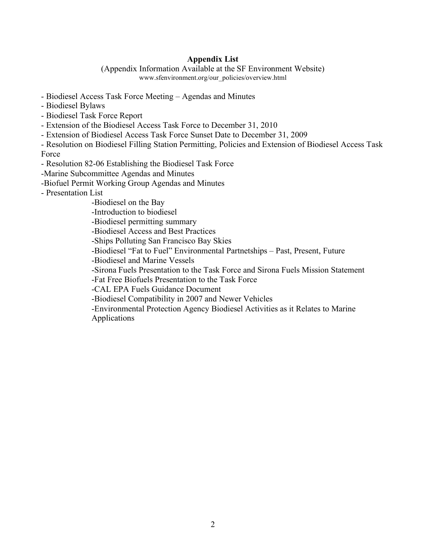## **Appendix List**

(Appendix Information Available at the SF Environment Website) www.sfenvironment.org/our\_policies/overview.html

- Biodiesel Access Task Force Meeting Agendas and Minutes
- Biodiesel Bylaws
- Biodiesel Task Force Report
- Extension of the Biodiesel Access Task Force to December 31, 2010
- Extension of Biodiesel Access Task Force Sunset Date to December 31, 2009

- Resolution on Biodiesel Filling Station Permitting, Policies and Extension of Biodiesel Access Task Force

- Resolution 82-06 Establishing the Biodiesel Task Force
- -Marine Subcommittee Agendas and Minutes
- -Biofuel Permit Working Group Agendas and Minutes
- Presentation List
	- -Biodiesel on the Bay
	- -Introduction to biodiesel
	- -Biodiesel permitting summary
	- -Biodiesel Access and Best Practices
	- -Ships Polluting San Francisco Bay Skies
	- -Biodiesel "Fat to Fuel" Environmental Partnetships Past, Present, Future
	- -Biodiesel and Marine Vessels
	- -Sirona Fuels Presentation to the Task Force and Sirona Fuels Mission Statement
	- -Fat Free Biofuels Presentation to the Task Force
	- -CAL EPA Fuels Guidance Document
	- -Biodiesel Compatibility in 2007 and Newer Vehicles
	- -Environmental Protection Agency Biodiesel Activities as it Relates to Marine Applications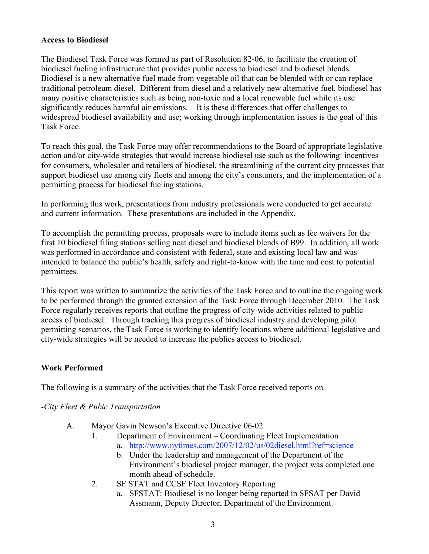#### **Access to Biodiesel**

The Biodiesel Task Force was formed as part of Resolution 82-06, to facilitate the creation of biodiesel fueling infrastructure that provides public access to biodiesel and biodiesel blends. Biodiesel is a new alternative fuel made from vegetable oil that can be blended with or can replace traditional petroleum diesel. Different from diesel and a relatively new alternative fuel, biodiesel has many positive characteristics such as being non-toxic and a local renewable fuel while its use significantly reduces harmful air emissions. It is these differences that offer challenges to widespread biodiesel availability and use; working through implementation issues is the goal of this Task Force.

To reach this goal, the Task Force may offer recommendations to the Board of appropriate legislative action and/or city-wide strategies that would increase biodiesel use such as the following: incentives for consumers, wholesaler and retailers of biodiesel, the streamlining of the current city processes that support biodiesel use among city fleets and among the city's consumers, and the implementation of a permitting process for biodiesel fueling stations.

In performing this work, presentations from industry professionals were conducted to get accurate and current information. These presentations are included in the Appendix.

To accomplish the permitting process, proposals were to include items such as fee waivers for the first 10 biodiesel filing stations selling neat diesel and biodiesel blends of B99. In addition, all work was performed in accordance and consistent with federal, state and existing local law and was intended to balance the public's health, safety and right-to-know with the time and cost to potential permittees.

This report was written to summarize the activities of the Task Force and to outline the ongoing work to be performed through the granted extension of the Task Force through December 2010. The Task Force regularly receives reports that outline the progress of city-wide activities related to public access of biodiesel. Through tracking this progress of biodiesel industry and developing pilot permitting scenarios, the Task Force is working to identify locations where additional legislative and city-wide strategies will be needed to increase the publics access to biodiesel.

#### **Work Performed**

The following is a summary of the activities that the Task Force received reports on.

*-City Fleet & Pubic Transportation*

- A. Mayor Gavin Newson's Executive Directive 06-02
	- 1. Department of Environment Coordinating Fleet Implementation a. http://www.nytimes.com/2007/12/02/us/02diesel.html?ref=science
		- b. Under the leadership and management of the Department of the Environment's biodiesel project manager, the project was completed one month ahead of schedule.
	- 2. SF STAT and CCSF Fleet Inventory Reporting
		- a. SFSTAT: Biodiesel is no longer being reported in SFSAT per David Assmann, Deputy Director, Department of the Environment.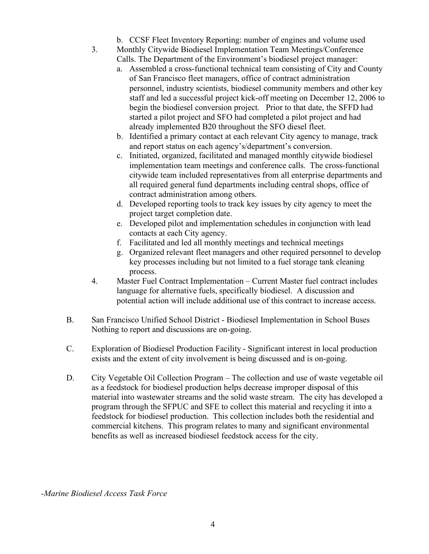- b. CCSF Fleet Inventory Reporting: number of engines and volume used
- 3. Monthly Citywide Biodiesel Implementation Team Meetings/Conference Calls. The Department of the Environment's biodiesel project manager:
	- a. Assembled a cross-functional technical team consisting of City and County of San Francisco fleet managers, office of contract administration personnel, industry scientists, biodiesel community members and other key staff and led a successful project kick-off meeting on December 12, 2006 to begin the biodiesel conversion project. Prior to that date, the SFFD had started a pilot project and SFO had completed a pilot project and had already implemented B20 throughout the SFO diesel fleet.
	- b. Identified a primary contact at each relevant City agency to manage, track and report status on each agency's/department's conversion.
	- c. Initiated, organized, facilitated and managed monthly citywide biodiesel implementation team meetings and conference calls. The cross-functional citywide team included representatives from all enterprise departments and all required general fund departments including central shops, office of contract administration among others.
	- d. Developed reporting tools to track key issues by city agency to meet the project target completion date.
	- e. Developed pilot and implementation schedules in conjunction with lead contacts at each City agency.
	- f. Facilitated and led all monthly meetings and technical meetings
	- g. Organized relevant fleet managers and other required personnel to develop key processes including but not limited to a fuel storage tank cleaning process.
- 4. Master Fuel Contract Implementation Current Master fuel contract includes language for alternative fuels, specifically biodiesel. A discussion and potential action will include additional use of this contract to increase access.
- B. San Francisco Unified School District Biodiesel Implementation in School Buses Nothing to report and discussions are on-going.
- C. Exploration of Biodiesel Production Facility Significant interest in local production exists and the extent of city involvement is being discussed and is on-going.
- D. City Vegetable Oil Collection Program The collection and use of waste vegetable oil as a feedstock for biodiesel production helps decrease improper disposal of this material into wastewater streams and the solid waste stream. The city has developed a program through the SFPUC and SFE to collect this material and recycling it into a feedstock for biodiesel production. This collection includes both the residential and commercial kitchens. This program relates to many and significant environmental benefits as well as increased biodiesel feedstock access for the city.

*-Marine Biodiesel Access Task Force*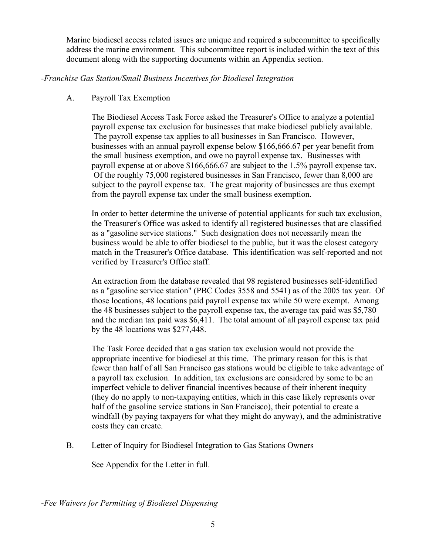Marine biodiesel access related issues are unique and required a subcommittee to specifically address the marine environment. This subcommittee report is included within the text of this document along with the supporting documents within an Appendix section.

#### *-Franchise Gas Station/Small Business Incentives for Biodiesel Integration*

## A. Payroll Tax Exemption

The Biodiesel Access Task Force asked the Treasurer's Office to analyze a potential payroll expense tax exclusion for businesses that make biodiesel publicly available. The payroll expense tax applies to all businesses in San Francisco. However, businesses with an annual payroll expense below \$166,666.67 per year benefit from the small business exemption, and owe no payroll expense tax. Businesses with payroll expense at or above \$166,666.67 are subject to the 1.5% payroll expense tax. Of the roughly 75,000 registered businesses in San Francisco, fewer than 8,000 are subject to the payroll expense tax. The great majority of businesses are thus exempt from the payroll expense tax under the small business exemption.

In order to better determine the universe of potential applicants for such tax exclusion, the Treasurer's Office was asked to identify all registered businesses that are classified as a "gasoline service stations." Such designation does not necessarily mean the business would be able to offer biodiesel to the public, but it was the closest category match in the Treasurer's Office database. This identification was self-reported and not verified by Treasurer's Office staff.

An extraction from the database revealed that 98 registered businesses self-identified as a "gasoline service station" (PBC Codes 3558 and 5541) as of the 2005 tax year. Of those locations, 48 locations paid payroll expense tax while 50 were exempt. Among the 48 businesses subject to the payroll expense tax, the average tax paid was \$5,780 and the median tax paid was \$6,411. The total amount of all payroll expense tax paid by the 48 locations was \$277,448.

The Task Force decided that a gas station tax exclusion would not provide the appropriate incentive for biodiesel at this time. The primary reason for this is that fewer than half of all San Francisco gas stations would be eligible to take advantage of a payroll tax exclusion. In addition, tax exclusions are considered by some to be an imperfect vehicle to deliver financial incentives because of their inherent inequity (they do no apply to non-taxpaying entities, which in this case likely represents over half of the gasoline service stations in San Francisco), their potential to create a windfall (by paying taxpayers for what they might do anyway), and the administrative costs they can create.

B. Letter of Inquiry for Biodiesel Integration to Gas Stations Owners

See Appendix for the Letter in full.

*-Fee Waivers for Permitting of Biodiesel Dispensing*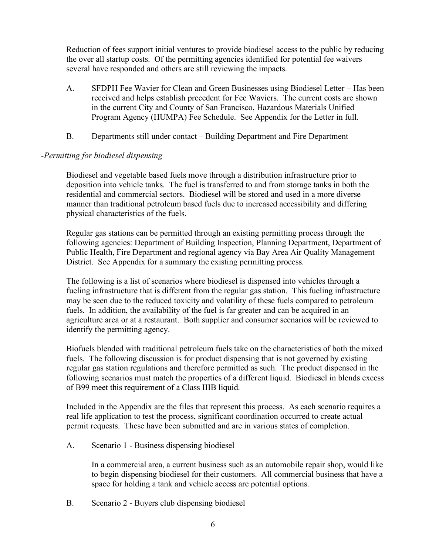Reduction of fees support initial ventures to provide biodiesel access to the public by reducing the over all startup costs. Of the permitting agencies identified for potential fee waivers several have responded and others are still reviewing the impacts.

- A. SFDPH Fee Wavier for Clean and Green Businesses using Biodiesel Letter Has been received and helps establish precedent for Fee Waviers. The current costs are shown in the current City and County of San Francisco, Hazardous Materials Unified Program Agency (HUMPA) Fee Schedule. See Appendix for the Letter in full.
- B. Departments still under contact Building Department and Fire Department

#### *-Permitting for biodiesel dispensing*

Biodiesel and vegetable based fuels move through a distribution infrastructure prior to deposition into vehicle tanks. The fuel is transferred to and from storage tanks in both the residential and commercial sectors. Biodiesel will be stored and used in a more diverse manner than traditional petroleum based fuels due to increased accessibility and differing physical characteristics of the fuels.

Regular gas stations can be permitted through an existing permitting process through the following agencies: Department of Building Inspection, Planning Department, Department of Public Health, Fire Department and regional agency via Bay Area Air Quality Management District. See Appendix for a summary the existing permitting process.

The following is a list of scenarios where biodiesel is dispensed into vehicles through a fueling infrastructure that is different from the regular gas station. This fueling infrastructure may be seen due to the reduced toxicity and volatility of these fuels compared to petroleum fuels. In addition, the availability of the fuel is far greater and can be acquired in an agriculture area or at a restaurant. Both supplier and consumer scenarios will be reviewed to identify the permitting agency.

Biofuels blended with traditional petroleum fuels take on the characteristics of both the mixed fuels. The following discussion is for product dispensing that is not governed by existing regular gas station regulations and therefore permitted as such. The product dispensed in the following scenarios must match the properties of a different liquid. Biodiesel in blends excess of B99 meet this requirement of a Class IIIB liquid.

Included in the Appendix are the files that represent this process. As each scenario requires a real life application to test the process, significant coordination occurred to create actual permit requests. These have been submitted and are in various states of completion.

A. Scenario 1 - Business dispensing biodiesel

In a commercial area, a current business such as an automobile repair shop, would like to begin dispensing biodiesel for their customers. All commercial business that have a space for holding a tank and vehicle access are potential options.

B. Scenario 2 - Buyers club dispensing biodiesel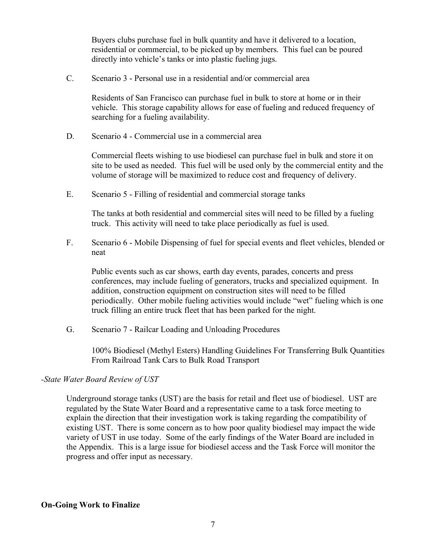Buyers clubs purchase fuel in bulk quantity and have it delivered to a location, residential or commercial, to be picked up by members. This fuel can be poured directly into vehicle's tanks or into plastic fueling jugs.

C. Scenario 3 - Personal use in a residential and/or commercial area

Residents of San Francisco can purchase fuel in bulk to store at home or in their vehicle. This storage capability allows for ease of fueling and reduced frequency of searching for a fueling availability.

D. Scenario 4 - Commercial use in a commercial area

Commercial fleets wishing to use biodiesel can purchase fuel in bulk and store it on site to be used as needed. This fuel will be used only by the commercial entity and the volume of storage will be maximized to reduce cost and frequency of delivery.

E. Scenario 5 - Filling of residential and commercial storage tanks

The tanks at both residential and commercial sites will need to be filled by a fueling truck. This activity will need to take place periodically as fuel is used.

F. Scenario 6 - Mobile Dispensing of fuel for special events and fleet vehicles, blended or neat

Public events such as car shows, earth day events, parades, concerts and press conferences, may include fueling of generators, trucks and specialized equipment. In addition, construction equipment on construction sites will need to be filled periodically. Other mobile fueling activities would include "wet" fueling which is one truck filling an entire truck fleet that has been parked for the night.

G. Scenario 7 - Railcar Loading and Unloading Procedures

100% Biodiesel (Methyl Esters) Handling Guidelines For Transferring Bulk Quantities From Railroad Tank Cars to Bulk Road Transport

*-State Water Board Review of UST*

Underground storage tanks (UST) are the basis for retail and fleet use of biodiesel. UST are regulated by the State Water Board and a representative came to a task force meeting to explain the direction that their investigation work is taking regarding the compatibility of existing UST. There is some concern as to how poor quality biodiesel may impact the wide variety of UST in use today. Some of the early findings of the Water Board are included in the Appendix. This is a large issue for biodiesel access and the Task Force will monitor the progress and offer input as necessary.

#### **On-Going Work to Finalize**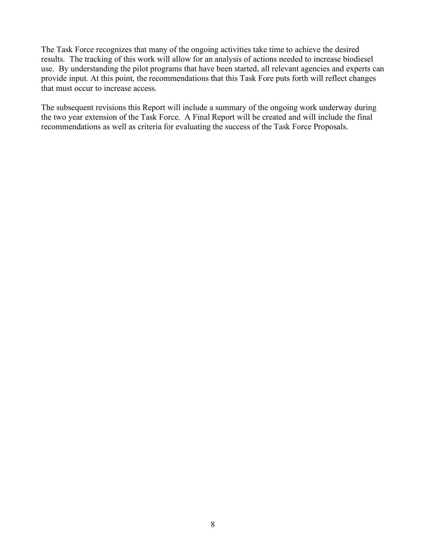The Task Force recognizes that many of the ongoing activities take time to achieve the desired results. The tracking of this work will allow for an analysis of actions needed to increase biodiesel use. By understanding the pilot programs that have been started, all relevant agencies and experts can provide input. At this point, the recommendations that this Task Fore puts forth will reflect changes that must occur to increase access.

The subsequent revisions this Report will include a summary of the ongoing work underway during the two year extension of the Task Force. A Final Report will be created and will include the final recommendations as well as criteria for evaluating the success of the Task Force Proposals.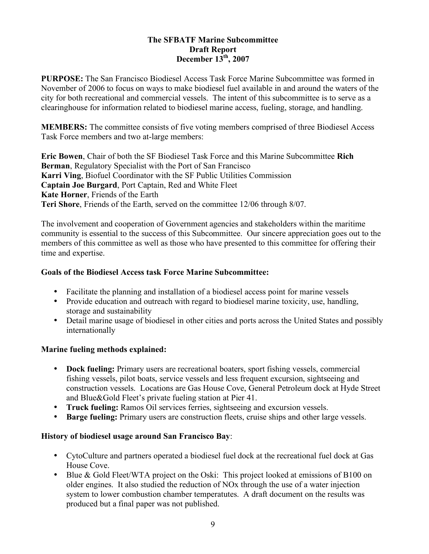#### **The SFBATF Marine Subcommittee Draft Report December 13th, 2007**

**PURPOSE:** The San Francisco Biodiesel Access Task Force Marine Subcommittee was formed in November of 2006 to focus on ways to make biodiesel fuel available in and around the waters of the city for both recreational and commercial vessels. The intent of this subcommittee is to serve as a clearinghouse for information related to biodiesel marine access, fueling, storage, and handling.

**MEMBERS:** The committee consists of five voting members comprised of three Biodiesel Access Task Force members and two at-large members:

**Eric Bowen**, Chair of both the SF Biodiesel Task Force and this Marine Subcommittee **Rich Berman**, Regulatory Specialist with the Port of San Francisco **Karri Ving**, Biofuel Coordinator with the SF Public Utilities Commission **Captain Joe Burgard**, Port Captain, Red and White Fleet **Kate Horner**, Friends of the Earth **Teri Shore**, Friends of the Earth, served on the committee 12/06 through 8/07.

The involvement and cooperation of Government agencies and stakeholders within the maritime community is essential to the success of this Subcommittee. Our sincere appreciation goes out to the members of this committee as well as those who have presented to this committee for offering their time and expertise.

#### **Goals of the Biodiesel Access task Force Marine Subcommittee:**

- Facilitate the planning and installation of a biodiesel access point for marine vessels
- Provide education and outreach with regard to biodiesel marine toxicity, use, handling, storage and sustainability
- Detail marine usage of biodiesel in other cities and ports across the United States and possibly internationally

# **Marine fueling methods explained:**

- **Dock fueling:** Primary users are recreational boaters, sport fishing vessels, commercial fishing vessels, pilot boats, service vessels and less frequent excursion, sightseeing and construction vessels. Locations are Gas House Cove, General Petroleum dock at Hyde Street and Blue&Gold Fleet's private fueling station at Pier 41.
- **Truck fueling:** Ramos Oil services ferries, sightseeing and excursion vessels.
- **Barge fueling:** Primary users are construction fleets, cruise ships and other large vessels.

# **History of biodiesel usage around San Francisco Bay**:

- CytoCulture and partners operated a biodiesel fuel dock at the recreational fuel dock at Gas House Cove.
- Blue & Gold Fleet/WTA project on the Oski: This project looked at emissions of B100 on older engines. It also studied the reduction of NOx through the use of a water injection system to lower combustion chamber temperatutes. A draft document on the results was produced but a final paper was not published.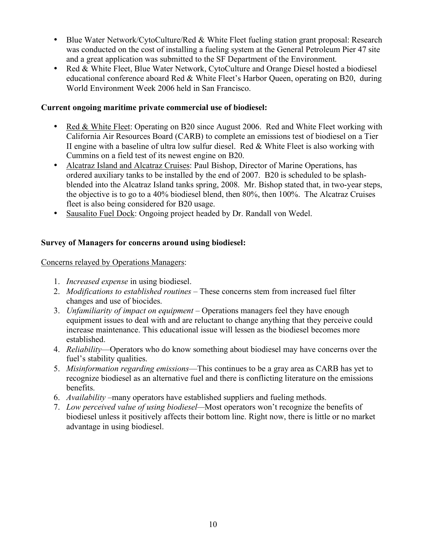- Blue Water Network/CytoCulture/Red & White Fleet fueling station grant proposal: Research was conducted on the cost of installing a fueling system at the General Petroleum Pier 47 site and a great application was submitted to the SF Department of the Environment.
- Red & White Fleet, Blue Water Network, CytoCulture and Orange Diesel hosted a biodiesel educational conference aboard Red & White Fleet's Harbor Queen, operating on B20, during World Environment Week 2006 held in San Francisco.

### **Current ongoing maritime private commercial use of biodiesel:**

- Red & White Fleet: Operating on B20 since August 2006. Red and White Fleet working with California Air Resources Board (CARB) to complete an emissions test of biodiesel on a Tier II engine with a baseline of ultra low sulfur diesel. Red & White Fleet is also working with Cummins on a field test of its newest engine on B20.
- Alcatraz Island and Alcatraz Cruises: Paul Bishop, Director of Marine Operations, has ordered auxiliary tanks to be installed by the end of 2007. B20 is scheduled to be splashblended into the Alcatraz Island tanks spring, 2008. Mr. Bishop stated that, in two-year steps, the objective is to go to a 40% biodiesel blend, then 80%, then 100%. The Alcatraz Cruises fleet is also being considered for B20 usage.
- Sausalito Fuel Dock: Ongoing project headed by Dr. Randall von Wedel.

# **Survey of Managers for concerns around using biodiesel:**

#### Concerns relayed by Operations Managers:

- 1. *Increased expense* in using biodiesel.
- 2. *Modifications to established routines* These concerns stem from increased fuel filter changes and use of biocides.
- 3. *Unfamiliarity of impact on equipment* Operations managers feel they have enough equipment issues to deal with and are reluctant to change anything that they perceive could increase maintenance. This educational issue will lessen as the biodiesel becomes more established.
- 4. *Reliability*—Operators who do know something about biodiesel may have concerns over the fuel's stability qualities.
- 5. *Misinformation regarding emissions*—This continues to be a gray area as CARB has yet to recognize biodiesel as an alternative fuel and there is conflicting literature on the emissions benefits.
- 6. *Availability* –many operators have established suppliers and fueling methods.
- 7. *Low perceived value of using biodiesel—*Most operators won't recognize the benefits of biodiesel unless it positively affects their bottom line. Right now, there is little or no market advantage in using biodiesel.